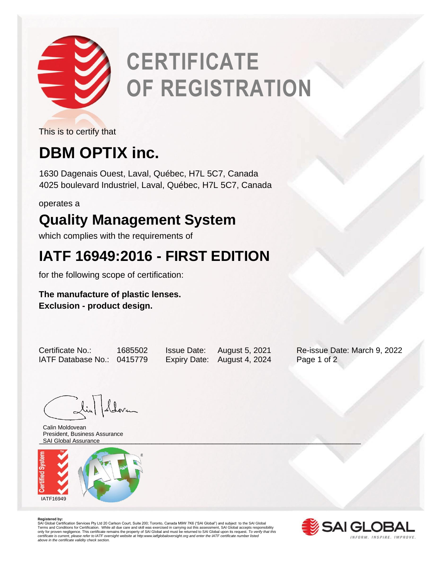

# **CERTIFICATE OF REGISTRATION**

This is to certify that

# **DBM OPTIX inc.**

1630 Dagenais Ouest, Laval, Québec, H7L 5C7, Canada 4025 boulevard Industriel, Laval, Québec, H7L 5C7, Canada

operates a

### **Quality Management System**

which complies with the requirements of

## **IATF 16949:2016 - FIRST EDITION**

for the following scope of certification:

### **The manufacture of plastic lenses. Exclusion - product design.**

IATF Database No.: 0415779 Expiry Date: August 4, 2024 Page 1 of 2

Certificate No.: 1685502 Issue Date: August 5, 2021 Re-issue Date: March 9, 2022

Lin Lloven

\_\_\_\_\_\_\_\_\_\_\_\_\_\_\_\_\_\_\_\_\_\_\_\_\_\_\_\_\_\_\_\_\_\_\_\_\_\_\_\_\_\_\_\_\_\_\_\_\_\_\_\_\_\_\_\_\_\_\_\_\_\_\_\_\_\_\_\_\_\_\_\_\_\_\_\_\_\_\_\_ SAI Global AssuranceCalin Moldovean President, Business Assurance



**Registered by:**<br>SAI Global Certification Services Pty Ltd 20 Carlson Court, Suite 200; Toronto, Canada M9W 7K6 ("SAI Global") and subject to the SAI Global<br>Terms and Conditions for Certification. While all due care and sk *certificate is current, please refer to IATF oversight website at http:www.iatfglobaloversight.org and enter the IATF certificate number listed above in the certificate validity check section.*